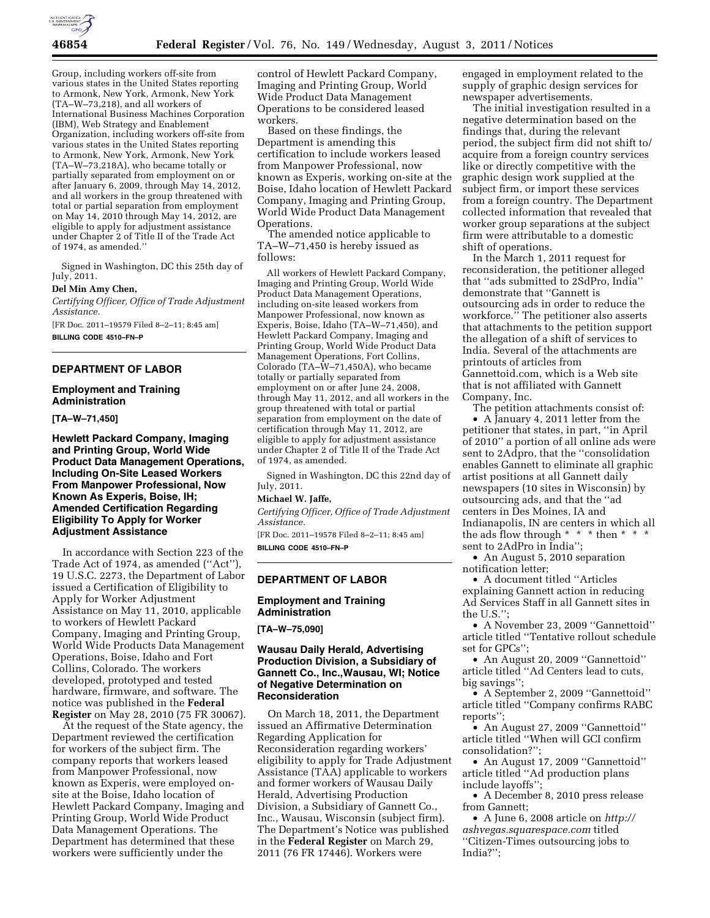

Group, including workers off-site from various states in the United States reporting to Armonk, New York, Armonk, New York (TA–W–73,218), and all workers of International Business Machines Corporation (IBM), Web Strategy and Enablement Organization, including workers off-site from various states in the United States reporting to Armonk, New York, Armonk, New York (TA–W–73,218A), who became totally or partially separated from employment on or after January 6, 2009, through May 14, 2012, and all workers in the group threatened with total or partial separation from employment on May 14, 2010 through May 14, 2012, are eligible to apply for adjustment assistance under Chapter 2 of Title II of the Trade Act of 1974, as amended.''

Signed in Washington, DC this 25th day of July, 2011.

## **Del Min Amy Chen,**

*Certifying Officer, Office of Trade Adjustment Assistance.* 

[FR Doc. 2011–19579 Filed 8–2–11; 8:45 am] **BILLING CODE 4510–FN–P** 

#### **DEPARTMENT OF LABOR**

#### **Employment and Training Administration**

**[TA–W–71,450]** 

**Hewlett Packard Company, Imaging and Printing Group, World Wide Product Data Management Operations, Including On-Site Leased Workers From Manpower Professional, Now Known As Experis, Boise, IH; Amended Certification Regarding Eligibility To Apply for Worker Adjustment Assistance** 

In accordance with Section 223 of the Trade Act of 1974, as amended (''Act''), 19 U.S.C. 2273, the Department of Labor issued a Certification of Eligibility to Apply for Worker Adjustment Assistance on May 11, 2010, applicable to workers of Hewlett Packard Company, Imaging and Printing Group, World Wide Products Data Management Operations, Boise, Idaho and Fort Collins, Colorado. The workers developed, prototyped and tested hardware, firmware, and software. The notice was published in the **Federal Register** on May 28, 2010 (75 FR 30067).

At the request of the State agency, the Department reviewed the certification for workers of the subject firm. The company reports that workers leased from Manpower Professional, now known as Experis, were employed onsite at the Boise, Idaho location of Hewlett Packard Company, Imaging and Printing Group, World Wide Product Data Management Operations. The Department has determined that these workers were sufficiently under the

control of Hewlett Packard Company, Imaging and Printing Group, World Wide Product Data Management Operations to be considered leased workers.

Based on these findings, the Department is amending this certification to include workers leased from Manpower Professional, now known as Experis, working on-site at the Boise, Idaho location of Hewlett Packard Company, Imaging and Printing Group, World Wide Product Data Management Operations.

The amended notice applicable to TA–W–71,450 is hereby issued as follows:

All workers of Hewlett Packard Company, Imaging and Printing Group, World Wide Product Data Management Operations, including on-site leased workers from Manpower Professional, now known as Experis, Boise, Idaho (TA–W–71,450), and Hewlett Packard Company, Imaging and Printing Group, World Wide Product Data Management Operations, Fort Collins, Colorado (TA–W–71,450A), who became totally or partially separated from employment on or after June 24, 2008, through May 11, 2012, and all workers in the group threatened with total or partial separation from employment on the date of certification through May 11, 2012, are eligible to apply for adjustment assistance under Chapter 2 of Title II of the Trade Act of 1974, as amended.

Signed in Washington, DC this 22nd day of July, 2011.

#### **Michael W. Jaffe,**

*Certifying Officer, Office of Trade Adjustment Assistance.* 

[FR Doc. 2011–19578 Filed 8–2–11; 8:45 am] **BILLING CODE 4510–FN–P** 

# **DEPARTMENT OF LABOR**

## **Employment and Training Administration**

**[TA–W–75,090]** 

#### **Wausau Daily Herald, Advertising Production Division, a Subsidiary of Gannett Co., Inc.,Wausau, WI; Notice of Negative Determination on Reconsideration**

On March 18, 2011, the Department issued an Affirmative Determination Regarding Application for Reconsideration regarding workers' eligibility to apply for Trade Adjustment Assistance (TAA) applicable to workers and former workers of Wausau Daily Herald, Advertising Production Division, a Subsidiary of Gannett Co., Inc., Wausau, Wisconsin (subject firm). The Department's Notice was published in the **Federal Register** on March 29, 2011 (76 FR 17446). Workers were

engaged in employment related to the supply of graphic design services for newspaper advertisements.

The initial investigation resulted in a negative determination based on the findings that, during the relevant period, the subject firm did not shift to/ acquire from a foreign country services like or directly competitive with the graphic design work supplied at the subject firm, or import these services from a foreign country. The Department collected information that revealed that worker group separations at the subject firm were attributable to a domestic shift of operations.

In the March 1, 2011 request for reconsideration, the petitioner alleged that ''ads submitted to 2SdPro, India'' demonstrate that ''Gannett is outsourcing ads in order to reduce the workforce.'' The petitioner also asserts that attachments to the petition support the allegation of a shift of services to India. Several of the attachments are printouts of articles from Gannettoid.com, which is a Web site that is not affiliated with Gannett Company, Inc.

The petition attachments consist of:

• A January 4, 2011 letter from the petitioner that states, in part, ''in April of 2010'' a portion of all online ads were sent to 2Adpro, that the ''consolidation enables Gannett to eliminate all graphic artist positions at all Gannett daily newspapers (10 sites in Wisconsin) by outsourcing ads, and that the ''ad centers in Des Moines, IA and Indianapolis, IN are centers in which all the ads flow through \* \* \* then \* \* \* sent to 2AdPro in India'';

• An August 5, 2010 separation notification letter;

• A document titled ''Articles explaining Gannett action in reducing Ad Services Staff in all Gannett sites in the U.S.'';

• A November 23, 2009 ''Gannettoid'' article titled ''Tentative rollout schedule set for GPCs'';

• An August 20, 2009 ''Gannettoid'' article titled ''Ad Centers lead to cuts, big savings'';

• A September 2, 2009 ''Gannettoid'' article titled ''Company confirms RABC reports'';

• An August 27, 2009 "Gannettoid" article titled ''When will GCI confirm consolidation?'';

• An August 17, 2009 "Gannettoid" article titled ''Ad production plans include layoffs'';

• A December 8, 2010 press release from Gannett;

• A June 6, 2008 article on *[http://](http://ashvegas.squarespace.com)  [ashvegas.squarespace.com](http://ashvegas.squarespace.com)* titled ''Citizen-Times outsourcing jobs to India?'';